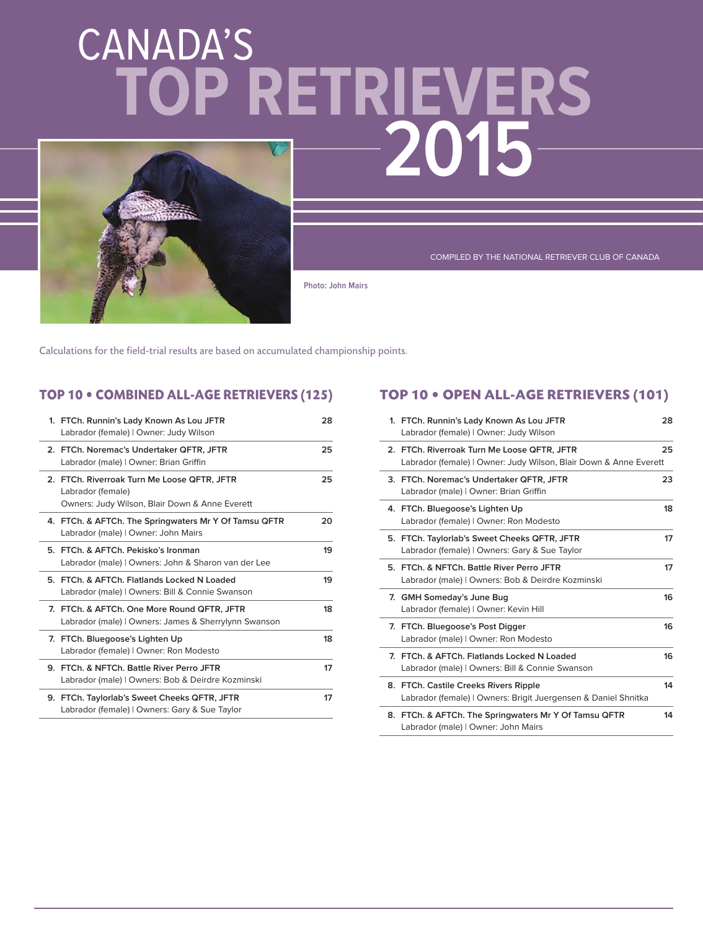# CANADA'S **2015 TOP RETRIEVERS**



COMPILED BY THE NATIONAL RETRIEVER CLUB OF CANADA

**Photo: John Mairs** 

Calculations for the field-trial results are based on accumulated championship points.

### **TOP 10 • COMBINED ALL-AGE RETRIEVERS (125)**

| 1. FTCh. Runnin's Lady Known As Lou JFTR<br>Labrador (female)   Owner: Judy Wilson                                 | 28 |
|--------------------------------------------------------------------------------------------------------------------|----|
| 2. FTCh. Noremac's Undertaker QFTR, JFTR<br>Labrador (male)   Owner: Brian Griffin                                 | 25 |
| 2. FTCh. Riverroak Turn Me Loose QFTR, JFTR<br>Labrador (female)<br>Owners: Judy Wilson, Blair Down & Anne Everett | 25 |
| 4. FTCh. & AFTCh. The Springwaters Mr Y Of Tamsu QFTR<br>Labrador (male)   Owner: John Mairs                       | 20 |
| 5. FTCh. & AFTCh. Pekisko's Ironman<br>Labrador (male)   Owners: John & Sharon van der Lee                         | 19 |
| 5. FTCh. & AFTCh. Flatlands Locked N Loaded<br>Labrador (male)   Owners: Bill & Connie Swanson                     | 19 |
| 7. FTCh. & AFTCh. One More Round QFTR. JFTR<br>Labrador (male)   Owners: James & Sherrylynn Swanson                | 18 |
| 7. FTCh. Bluegoose's Lighten Up<br>Labrador (female)   Owner: Ron Modesto                                          | 18 |
| 9. FTCh. & NFTCh. Battle River Perro JFTR<br>Labrador (male)   Owners: Bob & Deirdre Kozminski                     | 17 |
| 9. FTCh. Taylorlab's Sweet Cheeks QFTR, JFTR<br>Labrador (female)   Owners: Gary & Sue Taylor                      | 17 |

### **TOP 10 • OPEN ALL-AGE RETRIEVERS (101)**

| 1. FTCh. Runnin's Lady Known As Lou JFTR<br>Labrador (female)   Owner: Judy Wilson                               | 28 |
|------------------------------------------------------------------------------------------------------------------|----|
| 2. FTCh. Riverroak Turn Me Loose QFTR, JFTR<br>Labrador (female)   Owner: Judy Wilson, Blair Down & Anne Everett | 25 |
| 3. FTCh. Noremac's Undertaker QFTR, JFTR<br>Labrador (male)   Owner: Brian Griffin                               | 23 |
| 4. FTCh. Bluegoose's Lighten Up<br>Labrador (female)   Owner: Ron Modesto                                        | 18 |
| 5. FTCh. Taylorlab's Sweet Cheeks QFTR, JFTR<br>Labrador (female)   Owners: Gary & Sue Taylor                    | 17 |
| 5. FTCh, & NFTCh, Battle River Perro JFTR<br>Labrador (male)   Owners: Bob & Deirdre Kozminski                   | 17 |
| 7. GMH Someday's June Bug<br>Labrador (female)   Owner: Kevin Hill                                               | 16 |
| 7. FTCh. Bluegoose's Post Digger<br>Labrador (male)   Owner: Ron Modesto                                         | 16 |
| 7. FTCh, & AFTCh, Flatlands Locked N Loaded<br>Labrador (male)   Owners: Bill & Connie Swanson                   | 16 |
| 8. FTCh. Castile Creeks Rivers Ripple<br>Labrador (female)   Owners: Brigit Juergensen & Daniel Shnitka          | 14 |
| 8. FTCh. & AFTCh. The Springwaters Mr Y Of Tamsu QFTR<br>Labrador (male)   Owner: John Mairs                     | 14 |